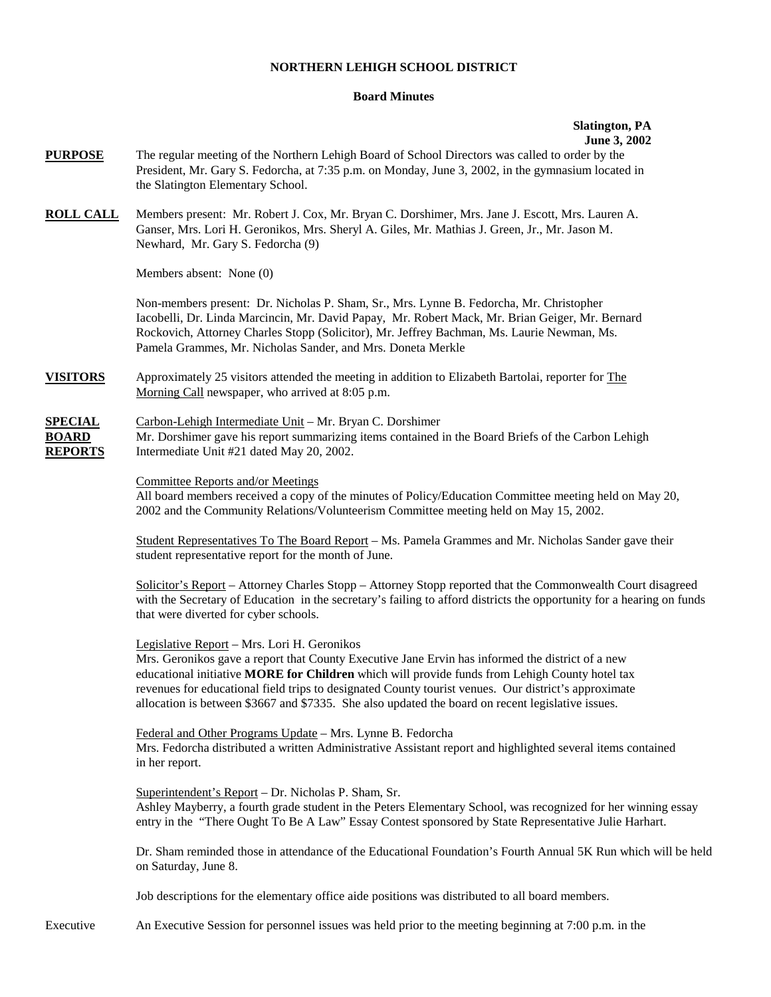### **NORTHERN LEHIGH SCHOOL DISTRICT**

## **Board Minutes**

#### **Slatington, PA June 3, 2002**

**PURPOSE** The regular meeting of the Northern Lehigh Board of School Directors was called to order by the President, Mr. Gary S. Fedorcha, at 7:35 p.m. on Monday, June 3, 2002, in the gymnasium located in the Slatington Elementary School. **ROLL CALL** Members present: Mr. Robert J. Cox, Mr. Bryan C. Dorshimer, Mrs. Jane J. Escott, Mrs. Lauren A. Ganser, Mrs. Lori H. Geronikos, Mrs. Sheryl A. Giles, Mr. Mathias J. Green, Jr., Mr. Jason M. Newhard, Mr. Gary S. Fedorcha (9) Members absent: None (0) Non-members present: Dr. Nicholas P. Sham, Sr., Mrs. Lynne B. Fedorcha, Mr. Christopher Iacobelli, Dr. Linda Marcincin, Mr. David Papay, Mr. Robert Mack, Mr. Brian Geiger, Mr. Bernard Rockovich, Attorney Charles Stopp (Solicitor), Mr. Jeffrey Bachman, Ms. Laurie Newman, Ms. Pamela Grammes, Mr. Nicholas Sander, and Mrs. Doneta Merkle **VISITORS** Approximately 25 visitors attended the meeting in addition to Elizabeth Bartolai, reporter for The Morning Call newspaper, who arrived at 8:05 p.m. **SPECIAL** Carbon-Lehigh Intermediate Unit – Mr. Bryan C. Dorshimer **BOARD** Mr. Dorshimer gave his report summarizing items contained in the Board Briefs of the Carbon Lehigh **REPORTS** Intermediate Unit #21 dated May 20, 2002. Committee Reports and/or Meetings All board members received a copy of the minutes of Policy/Education Committee meeting held on May 20, 2002 and the Community Relations/Volunteerism Committee meeting held on May 15, 2002. Student Representatives To The Board Report – Ms. Pamela Grammes and Mr. Nicholas Sander gave their student representative report for the month of June. Solicitor's Report – Attorney Charles Stopp – Attorney Stopp reported that the Commonwealth Court disagreed with the Secretary of Education in the secretary's failing to afford districts the opportunity for a hearing on funds that were diverted for cyber schools. Legislative Report – Mrs. Lori H. Geronikos Mrs. Geronikos gave a report that County Executive Jane Ervin has informed the district of a new educational initiative **MORE for Children** which will provide funds from Lehigh County hotel tax revenues for educational field trips to designated County tourist venues. Our district's approximate allocation is between \$3667 and \$7335. She also updated the board on recent legislative issues. Federal and Other Programs Update – Mrs. Lynne B. Fedorcha Mrs. Fedorcha distributed a written Administrative Assistant report and highlighted several items contained in her report. Superintendent's Report – Dr. Nicholas P. Sham, Sr. Ashley Mayberry, a fourth grade student in the Peters Elementary School, was recognized for her winning essay entry in the "There Ought To Be A Law" Essay Contest sponsored by State Representative Julie Harhart. Dr. Sham reminded those in attendance of the Educational Foundation's Fourth Annual 5K Run which will be held on Saturday, June 8. Job descriptions for the elementary office aide positions was distributed to all board members. Executive An Executive Session for personnel issues was held prior to the meeting beginning at 7:00 p.m. in the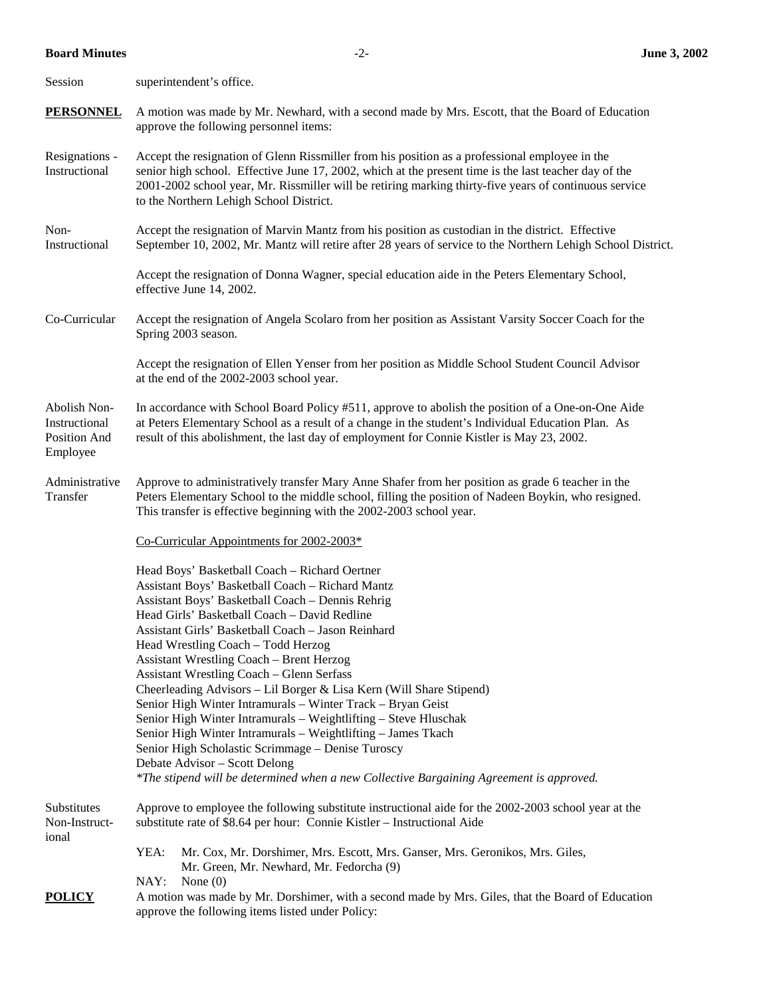# **Board Minutes** -2- **June 3, 2002**

| Session                                                   | superintendent's office.                                                                                                                                                                                                                                                                                                                                                                                                                                                                                                                                                                                                                                                                                                                                                                                                                                           |                                                                                                                                                                                                                                                                                                       |  |  |  |  |  |
|-----------------------------------------------------------|--------------------------------------------------------------------------------------------------------------------------------------------------------------------------------------------------------------------------------------------------------------------------------------------------------------------------------------------------------------------------------------------------------------------------------------------------------------------------------------------------------------------------------------------------------------------------------------------------------------------------------------------------------------------------------------------------------------------------------------------------------------------------------------------------------------------------------------------------------------------|-------------------------------------------------------------------------------------------------------------------------------------------------------------------------------------------------------------------------------------------------------------------------------------------------------|--|--|--|--|--|
| <b>PERSONNEL</b>                                          | A motion was made by Mr. Newhard, with a second made by Mrs. Escott, that the Board of Education<br>approve the following personnel items:                                                                                                                                                                                                                                                                                                                                                                                                                                                                                                                                                                                                                                                                                                                         |                                                                                                                                                                                                                                                                                                       |  |  |  |  |  |
| Resignations -<br>Instructional                           | Accept the resignation of Glenn Rissmiller from his position as a professional employee in the<br>senior high school. Effective June 17, 2002, which at the present time is the last teacher day of the<br>2001-2002 school year, Mr. Rissmiller will be retiring marking thirty-five years of continuous service<br>to the Northern Lehigh School District.                                                                                                                                                                                                                                                                                                                                                                                                                                                                                                       |                                                                                                                                                                                                                                                                                                       |  |  |  |  |  |
| Non-<br>Instructional                                     | Accept the resignation of Marvin Mantz from his position as custodian in the district. Effective<br>September 10, 2002, Mr. Mantz will retire after 28 years of service to the Northern Lehigh School District.                                                                                                                                                                                                                                                                                                                                                                                                                                                                                                                                                                                                                                                    |                                                                                                                                                                                                                                                                                                       |  |  |  |  |  |
|                                                           |                                                                                                                                                                                                                                                                                                                                                                                                                                                                                                                                                                                                                                                                                                                                                                                                                                                                    | Accept the resignation of Donna Wagner, special education aide in the Peters Elementary School,<br>effective June 14, 2002.                                                                                                                                                                           |  |  |  |  |  |
| Co-Curricular                                             | Accept the resignation of Angela Scolaro from her position as Assistant Varsity Soccer Coach for the<br>Spring 2003 season.                                                                                                                                                                                                                                                                                                                                                                                                                                                                                                                                                                                                                                                                                                                                        |                                                                                                                                                                                                                                                                                                       |  |  |  |  |  |
|                                                           |                                                                                                                                                                                                                                                                                                                                                                                                                                                                                                                                                                                                                                                                                                                                                                                                                                                                    | Accept the resignation of Ellen Yenser from her position as Middle School Student Council Advisor<br>at the end of the 2002-2003 school year.                                                                                                                                                         |  |  |  |  |  |
| Abolish Non-<br>Instructional<br>Position And<br>Employee |                                                                                                                                                                                                                                                                                                                                                                                                                                                                                                                                                                                                                                                                                                                                                                                                                                                                    | In accordance with School Board Policy #511, approve to abolish the position of a One-on-One Aide<br>at Peters Elementary School as a result of a change in the student's Individual Education Plan. As<br>result of this abolishment, the last day of employment for Connie Kistler is May 23, 2002. |  |  |  |  |  |
| Administrative<br>Transfer                                | Approve to administratively transfer Mary Anne Shafer from her position as grade 6 teacher in the<br>Peters Elementary School to the middle school, filling the position of Nadeen Boykin, who resigned.<br>This transfer is effective beginning with the 2002-2003 school year.                                                                                                                                                                                                                                                                                                                                                                                                                                                                                                                                                                                   |                                                                                                                                                                                                                                                                                                       |  |  |  |  |  |
|                                                           | Co-Curricular Appointments for 2002-2003*                                                                                                                                                                                                                                                                                                                                                                                                                                                                                                                                                                                                                                                                                                                                                                                                                          |                                                                                                                                                                                                                                                                                                       |  |  |  |  |  |
|                                                           | Head Boys' Basketball Coach - Richard Oertner<br>Assistant Boys' Basketball Coach - Richard Mantz<br>Assistant Boys' Basketball Coach - Dennis Rehrig<br>Head Girls' Basketball Coach - David Redline<br>Assistant Girls' Basketball Coach - Jason Reinhard<br>Head Wrestling Coach - Todd Herzog<br><b>Assistant Wrestling Coach - Brent Herzog</b><br><b>Assistant Wrestling Coach - Glenn Serfass</b><br>Cheerleading Advisors - Lil Borger & Lisa Kern (Will Share Stipend)<br>Senior High Winter Intramurals - Winter Track - Bryan Geist<br>Senior High Winter Intramurals - Weightlifting - Steve Hluschak<br>Senior High Winter Intramurals - Weightlifting - James Tkach<br>Senior High Scholastic Scrimmage - Denise Turoscy<br>Debate Advisor - Scott Delong<br>*The stipend will be determined when a new Collective Bargaining Agreement is approved. |                                                                                                                                                                                                                                                                                                       |  |  |  |  |  |
| Substitutes<br>Non-Instruct-<br>ional                     | Approve to employee the following substitute instructional aide for the 2002-2003 school year at the<br>substitute rate of \$8.64 per hour: Connie Kistler - Instructional Aide                                                                                                                                                                                                                                                                                                                                                                                                                                                                                                                                                                                                                                                                                    |                                                                                                                                                                                                                                                                                                       |  |  |  |  |  |
|                                                           | YEA:<br>NAY:                                                                                                                                                                                                                                                                                                                                                                                                                                                                                                                                                                                                                                                                                                                                                                                                                                                       | Mr. Cox, Mr. Dorshimer, Mrs. Escott, Mrs. Ganser, Mrs. Geronikos, Mrs. Giles,<br>Mr. Green, Mr. Newhard, Mr. Fedorcha (9)<br>None $(0)$                                                                                                                                                               |  |  |  |  |  |
| <b>POLICY</b>                                             | A motion was made by Mr. Dorshimer, with a second made by Mrs. Giles, that the Board of Education<br>approve the following items listed under Policy:                                                                                                                                                                                                                                                                                                                                                                                                                                                                                                                                                                                                                                                                                                              |                                                                                                                                                                                                                                                                                                       |  |  |  |  |  |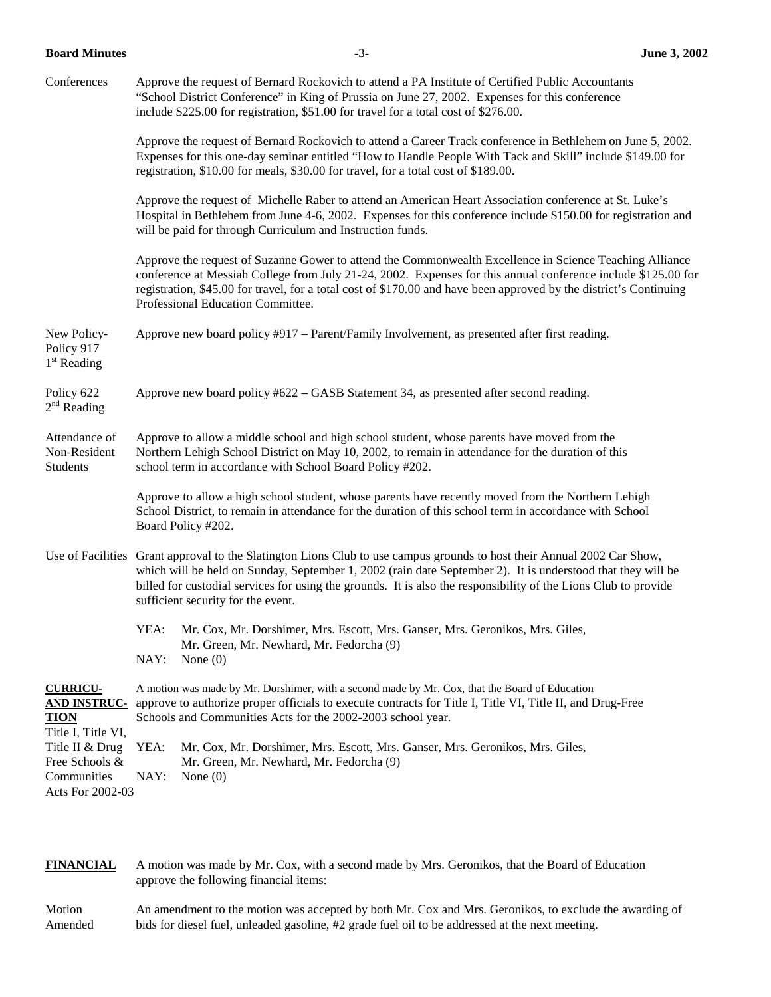**Board Minutes** -3- **June 3, 2002** 

| Conferences                                                                 | Approve the request of Bernard Rockovich to attend a PA Institute of Certified Public Accountants<br>"School District Conference" in King of Prussia on June 27, 2002. Expenses for this conference<br>include \$225.00 for registration, \$51.00 for travel for a total cost of \$276.00.                                                                                                      |  |  |  |  |  |  |  |
|-----------------------------------------------------------------------------|-------------------------------------------------------------------------------------------------------------------------------------------------------------------------------------------------------------------------------------------------------------------------------------------------------------------------------------------------------------------------------------------------|--|--|--|--|--|--|--|
|                                                                             | Approve the request of Bernard Rockovich to attend a Career Track conference in Bethlehem on June 5, 2002.<br>Expenses for this one-day seminar entitled "How to Handle People With Tack and Skill" include \$149.00 for<br>registration, \$10.00 for meals, \$30.00 for travel, for a total cost of \$189.00.                                                                                  |  |  |  |  |  |  |  |
|                                                                             | Approve the request of Michelle Raber to attend an American Heart Association conference at St. Luke's<br>Hospital in Bethlehem from June 4-6, 2002. Expenses for this conference include \$150.00 for registration and<br>will be paid for through Curriculum and Instruction funds.                                                                                                           |  |  |  |  |  |  |  |
|                                                                             | Approve the request of Suzanne Gower to attend the Commonwealth Excellence in Science Teaching Alliance<br>conference at Messiah College from July 21-24, 2002. Expenses for this annual conference include \$125.00 for<br>registration, \$45.00 for travel, for a total cost of \$170.00 and have been approved by the district's Continuing<br>Professional Education Committee.             |  |  |  |  |  |  |  |
| New Policy-<br>Policy 917<br>$1st$ Reading                                  | Approve new board policy #917 – Parent/Family Involvement, as presented after first reading.                                                                                                                                                                                                                                                                                                    |  |  |  |  |  |  |  |
| Policy 622<br>$2nd$ Reading                                                 | Approve new board policy #622 – GASB Statement 34, as presented after second reading.                                                                                                                                                                                                                                                                                                           |  |  |  |  |  |  |  |
| Attendance of<br>Non-Resident<br>Students                                   | Approve to allow a middle school and high school student, whose parents have moved from the<br>Northern Lehigh School District on May 10, 2002, to remain in attendance for the duration of this<br>school term in accordance with School Board Policy #202.                                                                                                                                    |  |  |  |  |  |  |  |
|                                                                             | Approve to allow a high school student, whose parents have recently moved from the Northern Lehigh<br>School District, to remain in attendance for the duration of this school term in accordance with School<br>Board Policy #202.                                                                                                                                                             |  |  |  |  |  |  |  |
|                                                                             | Use of Facilities Grant approval to the Slatington Lions Club to use campus grounds to host their Annual 2002 Car Show,<br>which will be held on Sunday, September 1, 2002 (rain date September 2). It is understood that they will be<br>billed for custodial services for using the grounds. It is also the responsibility of the Lions Club to provide<br>sufficient security for the event. |  |  |  |  |  |  |  |
|                                                                             | YEA: Mr. Cox, Mr. Dorshimer, Mrs. Escott, Mrs. Ganser, Mrs. Geronikos, Mrs. Giles,<br>Mr. Green, Mr. Newhard, Mr. Fedorcha (9)<br>NAY:<br>None $(0)$                                                                                                                                                                                                                                            |  |  |  |  |  |  |  |
| <b>CURRICU-</b><br><b>AND INSTRUC-</b><br><b>TION</b><br>Title I, Title VI, | A motion was made by Mr. Dorshimer, with a second made by Mr. Cox, that the Board of Education<br>approve to authorize proper officials to execute contracts for Title I, Title VI, Title II, and Drug-Free<br>Schools and Communities Acts for the 2002-2003 school year.                                                                                                                      |  |  |  |  |  |  |  |
| Title II & Drug<br>Free Schools &<br>Communities<br>Acts For 2002-03        | YEA:<br>Mr. Cox, Mr. Dorshimer, Mrs. Escott, Mrs. Ganser, Mrs. Geronikos, Mrs. Giles,<br>Mr. Green, Mr. Newhard, Mr. Fedorcha (9)<br>NAY:<br>None $(0)$                                                                                                                                                                                                                                         |  |  |  |  |  |  |  |

**FINANCIAL** A motion was made by Mr. Cox, with a second made by Mrs. Geronikos, that the Board of Education approve the following financial items:

Motion An amendment to the motion was accepted by both Mr. Cox and Mrs. Geronikos, to exclude the awarding of Amended bids for diesel fuel, unleaded gasoline, #2 grade fuel oil to be addressed at the next meeting.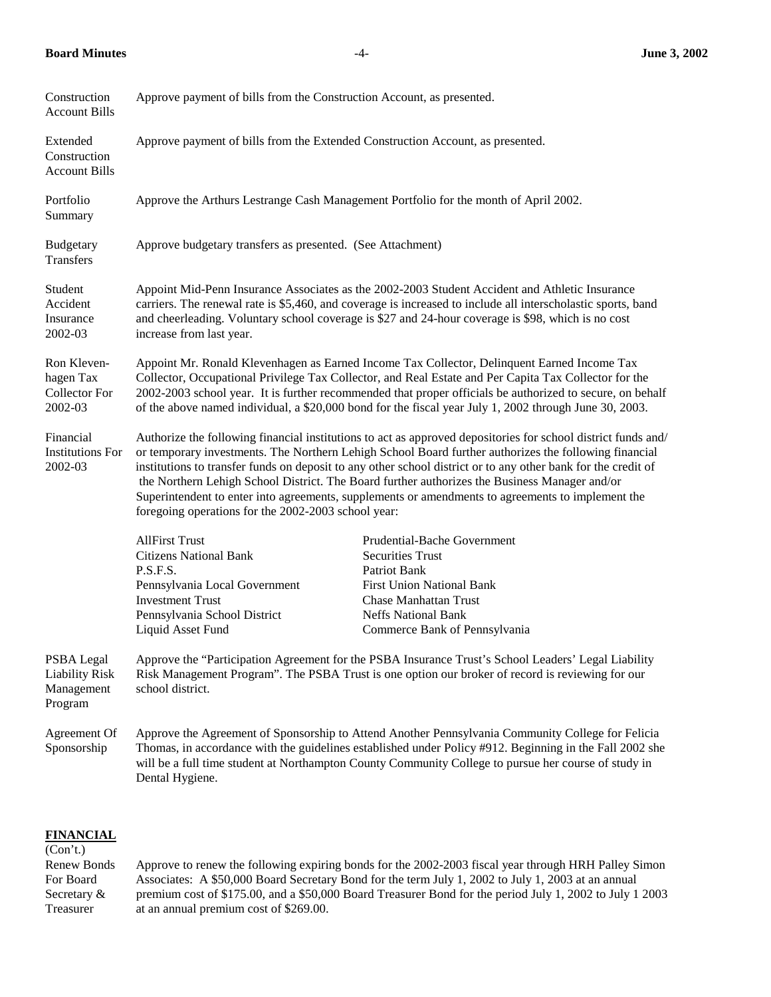## **Board Minutes** -4- **June 3, 2002**

| Construction<br><b>Account Bills</b>                         | Approve payment of bills from the Construction Account, as presented.                                                                                                                                                                                                                                                                                                                                                                                                                                                                                                                                |                                                                                                                                                                                                                                                                                                                      |  |  |  |  |
|--------------------------------------------------------------|------------------------------------------------------------------------------------------------------------------------------------------------------------------------------------------------------------------------------------------------------------------------------------------------------------------------------------------------------------------------------------------------------------------------------------------------------------------------------------------------------------------------------------------------------------------------------------------------------|----------------------------------------------------------------------------------------------------------------------------------------------------------------------------------------------------------------------------------------------------------------------------------------------------------------------|--|--|--|--|
| Extended<br>Construction<br><b>Account Bills</b>             | Approve payment of bills from the Extended Construction Account, as presented.                                                                                                                                                                                                                                                                                                                                                                                                                                                                                                                       |                                                                                                                                                                                                                                                                                                                      |  |  |  |  |
| Portfolio<br>Summary                                         | Approve the Arthurs Lestrange Cash Management Portfolio for the month of April 2002.                                                                                                                                                                                                                                                                                                                                                                                                                                                                                                                 |                                                                                                                                                                                                                                                                                                                      |  |  |  |  |
| Budgetary<br>Transfers                                       | Approve budgetary transfers as presented. (See Attachment)                                                                                                                                                                                                                                                                                                                                                                                                                                                                                                                                           |                                                                                                                                                                                                                                                                                                                      |  |  |  |  |
| Student<br>Accident<br>Insurance<br>2002-03                  | Appoint Mid-Penn Insurance Associates as the 2002-2003 Student Accident and Athletic Insurance<br>carriers. The renewal rate is \$5,460, and coverage is increased to include all interscholastic sports, band<br>and cheerleading. Voluntary school coverage is \$27 and 24-hour coverage is \$98, which is no cost<br>increase from last year.                                                                                                                                                                                                                                                     |                                                                                                                                                                                                                                                                                                                      |  |  |  |  |
| Ron Kleven-<br>hagen Tax<br><b>Collector For</b><br>2002-03  | Appoint Mr. Ronald Klevenhagen as Earned Income Tax Collector, Delinquent Earned Income Tax<br>Collector, Occupational Privilege Tax Collector, and Real Estate and Per Capita Tax Collector for the<br>2002-2003 school year. It is further recommended that proper officials be authorized to secure, on behalf<br>of the above named individual, a \$20,000 bond for the fiscal year July 1, 2002 through June 30, 2003.                                                                                                                                                                          |                                                                                                                                                                                                                                                                                                                      |  |  |  |  |
| Financial<br><b>Institutions For</b><br>2002-03              | Authorize the following financial institutions to act as approved depositories for school district funds and/<br>or temporary investments. The Northern Lehigh School Board further authorizes the following financial<br>institutions to transfer funds on deposit to any other school district or to any other bank for the credit of<br>the Northern Lehigh School District. The Board further authorizes the Business Manager and/or<br>Superintendent to enter into agreements, supplements or amendments to agreements to implement the<br>foregoing operations for the 2002-2003 school year: |                                                                                                                                                                                                                                                                                                                      |  |  |  |  |
|                                                              | <b>AllFirst Trust</b><br><b>Citizens National Bank</b><br>P.S.F.S.<br>Pennsylvania Local Government<br><b>Investment Trust</b><br>Pennsylvania School District<br>Liquid Asset Fund                                                                                                                                                                                                                                                                                                                                                                                                                  | Prudential-Bache Government<br><b>Securities Trust</b><br>Patriot Bank<br><b>First Union National Bank</b><br><b>Chase Manhattan Trust</b><br><b>Neffs National Bank</b><br>Commerce Bank of Pennsylvania                                                                                                            |  |  |  |  |
| PSBA Legal<br><b>Liability Risk</b><br>Management<br>Program | Approve the "Participation Agreement for the PSBA Insurance Trust's School Leaders' Legal Liability<br>Risk Management Program". The PSBA Trust is one option our broker of record is reviewing for our<br>school district.                                                                                                                                                                                                                                                                                                                                                                          |                                                                                                                                                                                                                                                                                                                      |  |  |  |  |
| Agreement Of<br>Sponsorship                                  | Dental Hygiene.                                                                                                                                                                                                                                                                                                                                                                                                                                                                                                                                                                                      | Approve the Agreement of Sponsorship to Attend Another Pennsylvania Community College for Felicia<br>Thomas, in accordance with the guidelines established under Policy #912. Beginning in the Fall 2002 she<br>will be a full time student at Northampton County Community College to pursue her course of study in |  |  |  |  |
|                                                              |                                                                                                                                                                                                                                                                                                                                                                                                                                                                                                                                                                                                      |                                                                                                                                                                                                                                                                                                                      |  |  |  |  |

### **FINANCIAL**  $\overline{(Con't.)}$

Renew Bonds Approve to renew the following expiring bonds for the 2002-2003 fiscal year through HRH Palley Simon For Board Associates: A \$50,000 Board Secretary Bond for the term July 1, 2002 to July 1, 2003 at an annual Secretary & premium cost of \$175.00, and a \$50,000 Board Treasurer Bond for the period July 1, 2002 to July 1 2003 Treasurer at an annual premium cost of \$269.00.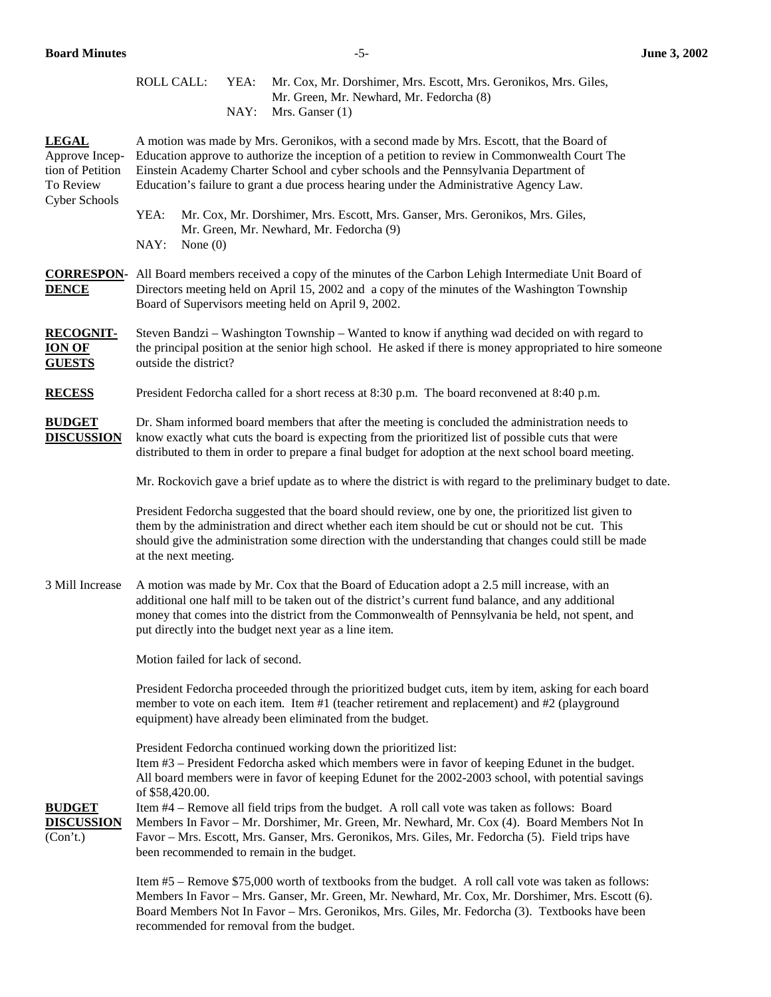|                                                                 | <b>ROLL CALL:</b>                                                                                                                                                                                                                                                                                                                                                              |  | YEA: | Mr. Cox, Mr. Dorshimer, Mrs. Escott, Mrs. Geronikos, Mrs. Giles,<br>Mr. Green, Mr. Newhard, Mr. Fedorcha (8)                                                                                                                                                                                                                                                                                                                                                                                                                                                                                                               |  |  |  |  |  |  |
|-----------------------------------------------------------------|--------------------------------------------------------------------------------------------------------------------------------------------------------------------------------------------------------------------------------------------------------------------------------------------------------------------------------------------------------------------------------|--|------|----------------------------------------------------------------------------------------------------------------------------------------------------------------------------------------------------------------------------------------------------------------------------------------------------------------------------------------------------------------------------------------------------------------------------------------------------------------------------------------------------------------------------------------------------------------------------------------------------------------------------|--|--|--|--|--|--|
|                                                                 |                                                                                                                                                                                                                                                                                                                                                                                |  | NAY: | Mrs. Ganser $(1)$                                                                                                                                                                                                                                                                                                                                                                                                                                                                                                                                                                                                          |  |  |  |  |  |  |
| <b>LEGAL</b><br>Approve Incep-<br>tion of Petition<br>To Review | A motion was made by Mrs. Geronikos, with a second made by Mrs. Escott, that the Board of<br>Education approve to authorize the inception of a petition to review in Commonwealth Court The<br>Einstein Academy Charter School and cyber schools and the Pennsylvania Department of<br>Education's failure to grant a due process hearing under the Administrative Agency Law. |  |      |                                                                                                                                                                                                                                                                                                                                                                                                                                                                                                                                                                                                                            |  |  |  |  |  |  |
| Cyber Schools                                                   | YEA:<br>Mr. Cox, Mr. Dorshimer, Mrs. Escott, Mrs. Ganser, Mrs. Geronikos, Mrs. Giles,<br>Mr. Green, Mr. Newhard, Mr. Fedorcha (9)<br>NAY:<br>None $(0)$                                                                                                                                                                                                                        |  |      |                                                                                                                                                                                                                                                                                                                                                                                                                                                                                                                                                                                                                            |  |  |  |  |  |  |
| <b>DENCE</b>                                                    | <b>CORRESPON-</b> All Board members received a copy of the minutes of the Carbon Lehigh Intermediate Unit Board of<br>Directors meeting held on April 15, 2002 and a copy of the minutes of the Washington Township<br>Board of Supervisors meeting held on April 9, 2002.                                                                                                     |  |      |                                                                                                                                                                                                                                                                                                                                                                                                                                                                                                                                                                                                                            |  |  |  |  |  |  |
| <b>RECOGNIT-</b><br><b>ION OF</b><br><b>GUESTS</b>              | Steven Bandzi – Washington Township – Wanted to know if anything wad decided on with regard to<br>the principal position at the senior high school. He asked if there is money appropriated to hire someone<br>outside the district?                                                                                                                                           |  |      |                                                                                                                                                                                                                                                                                                                                                                                                                                                                                                                                                                                                                            |  |  |  |  |  |  |
| <b>RECESS</b>                                                   | President Fedorcha called for a short recess at 8:30 p.m. The board reconvened at 8:40 p.m.                                                                                                                                                                                                                                                                                    |  |      |                                                                                                                                                                                                                                                                                                                                                                                                                                                                                                                                                                                                                            |  |  |  |  |  |  |
| <b>BUDGET</b><br><b>DISCUSSION</b>                              | Dr. Sham informed board members that after the meeting is concluded the administration needs to<br>know exactly what cuts the board is expecting from the prioritized list of possible cuts that were<br>distributed to them in order to prepare a final budget for adoption at the next school board meeting.                                                                 |  |      |                                                                                                                                                                                                                                                                                                                                                                                                                                                                                                                                                                                                                            |  |  |  |  |  |  |
|                                                                 | Mr. Rockovich gave a brief update as to where the district is with regard to the preliminary budget to date.                                                                                                                                                                                                                                                                   |  |      |                                                                                                                                                                                                                                                                                                                                                                                                                                                                                                                                                                                                                            |  |  |  |  |  |  |
|                                                                 | President Fedorcha suggested that the board should review, one by one, the prioritized list given to<br>them by the administration and direct whether each item should be cut or should not be cut. This<br>should give the administration some direction with the understanding that changes could still be made<br>at the next meeting.                                      |  |      |                                                                                                                                                                                                                                                                                                                                                                                                                                                                                                                                                                                                                            |  |  |  |  |  |  |
| 3 Mill Increase                                                 | A motion was made by Mr. Cox that the Board of Education adopt a 2.5 mill increase, with an<br>additional one half mill to be taken out of the district's current fund balance, and any additional<br>money that comes into the district from the Commonwealth of Pennsylvania be held, not spent, and<br>put directly into the budget next year as a line item.               |  |      |                                                                                                                                                                                                                                                                                                                                                                                                                                                                                                                                                                                                                            |  |  |  |  |  |  |
|                                                                 | Motion failed for lack of second.                                                                                                                                                                                                                                                                                                                                              |  |      |                                                                                                                                                                                                                                                                                                                                                                                                                                                                                                                                                                                                                            |  |  |  |  |  |  |
|                                                                 | President Fedorcha proceeded through the prioritized budget cuts, item by item, asking for each board<br>member to vote on each item. Item #1 (teacher retirement and replacement) and #2 (playground<br>equipment) have already been eliminated from the budget.                                                                                                              |  |      |                                                                                                                                                                                                                                                                                                                                                                                                                                                                                                                                                                                                                            |  |  |  |  |  |  |
| <b>BUDGET</b><br><b>DISCUSSION</b><br>(Con't.)                  | of \$58,420.00.                                                                                                                                                                                                                                                                                                                                                                |  |      | President Fedorcha continued working down the prioritized list:<br>Item #3 - President Fedorcha asked which members were in favor of keeping Edunet in the budget.<br>All board members were in favor of keeping Edunet for the 2002-2003 school, with potential savings<br>Item #4 – Remove all field trips from the budget. A roll call vote was taken as follows: Board<br>Members In Favor - Mr. Dorshimer, Mr. Green, Mr. Newhard, Mr. Cox (4). Board Members Not In<br>Favor - Mrs. Escott, Mrs. Ganser, Mrs. Geronikos, Mrs. Giles, Mr. Fedorcha (5). Field trips have<br>been recommended to remain in the budget. |  |  |  |  |  |  |
|                                                                 | Item #5 – Remove \$75,000 worth of textbooks from the budget. A roll call vote was taken as follows:<br>Members In Favor – Mrs. Ganser, Mr. Green, Mr. Newhard, Mr. Cox, Mr. Dorshimer, Mrs. Escott (6).                                                                                                                                                                       |  |      |                                                                                                                                                                                                                                                                                                                                                                                                                                                                                                                                                                                                                            |  |  |  |  |  |  |

Members In Favor – Mrs. Ganser, Mr. Green, Mr. Newhard, Mr. Cox, Mr. Dorshimer, Mrs. Escott (6). Board Members Not In Favor – Mrs. Geronikos, Mrs. Giles, Mr. Fedorcha (3). Textbooks have been recommended for removal from the budget.